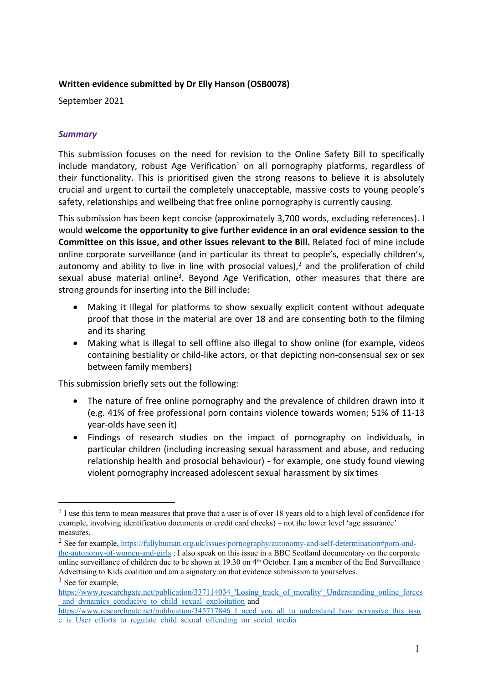#### **Written evidence submitted by Dr Elly Hanson (OSB0078)**

September 2021

#### *Summary*

This submission focuses on the need for revision to the Online Safety Bill to specifically include mandatory, robust Age Verification<sup>1</sup> on all pornography platforms, regardless of their functionality. This is prioritised given the strong reasons to believe it is absolutely crucial and urgent to curtail the completely unacceptable, massive costs to young people's safety, relationships and wellbeing that free online pornography is currently causing.

This submission has been kept concise (approximately 3,700 words, excluding references). I would **welcome the opportunity to give further evidence in an oral evidence session to the Committee on this issue, and other issues relevant to the Bill.** Related foci of mine include online corporate surveillance (and in particular its threat to people's, especially children's, autonomy and ability to live in line with prosocial values), $<sup>2</sup>$  and the proliferation of child</sup> sexual abuse material online<sup>3</sup>. Beyond Age Verification, other measures that there are strong grounds for inserting into the Bill include:

- Making it illegal for platforms to show sexually explicit content without adequate proof that those in the material are over 18 and are consenting both to the filming and its sharing
- Making what is illegal to sell offline also illegal to show online (for example, videos containing bestiality or child-like actors, or that depicting non-consensual sex or sex between family members)

This submission briefly sets out the following:

- The nature of free online pornography and the prevalence of children drawn into it (e.g. 41% of free professional porn contains violence towards women; 51% of 11-13 year-olds have seen it)
- Findings of research studies on the impact of pornography on individuals, in particular children (including increasing sexual harassment and abuse, and reducing relationship health and prosocial behaviour) - for example, one study found viewing violent pornography increased adolescent sexual harassment by six times

<sup>&</sup>lt;sup>1</sup> I use this term to mean measures that prove that a user is of over 18 years old to a high level of confidence (for example, involving identification documents or credit card checks) – not the lower level 'age assurance' measures.

<sup>2</sup> See for example, [https://fullyhuman.org.uk/issues/pornography/autonomy-and-self-determination#porn-and](https://fullyhuman.org.uk/issues/pornography/autonomy-and-self-determination#porn-and-the-autonomy-of-women-and-girls)[the-autonomy-of-women-and-girls](https://fullyhuman.org.uk/issues/pornography/autonomy-and-self-determination#porn-and-the-autonomy-of-women-and-girls) ; I also speak on this issue in a BBC Scotland documentary on the corporate online surveillance of children due to be shown at 19.30 on 4<sup>th</sup> October. I am a member of the End Surveillance Advertising to Kids coalition and am a signatory on that evidence submission to yourselves.

<sup>&</sup>lt;sup>3</sup> See for example,

https://www.researchgate.net/publication/337114034 'Losing\_track\_of\_morality'\_Understanding\_online\_forces and dynamics conducive to child sexual exploitation and

[https://www.researchgate.net/publication/345717846\\_I\\_need\\_you\\_all\\_to\\_understand\\_how\\_pervasive\\_this\\_issu](https://www.researchgate.net/publication/345717846_I_need_you_all_to_understand_how_pervasive_this_issue_is_User_efforts_to_regulate_child_sexual_offending_on_social_media) e is User efforts to regulate child sexual offending on social media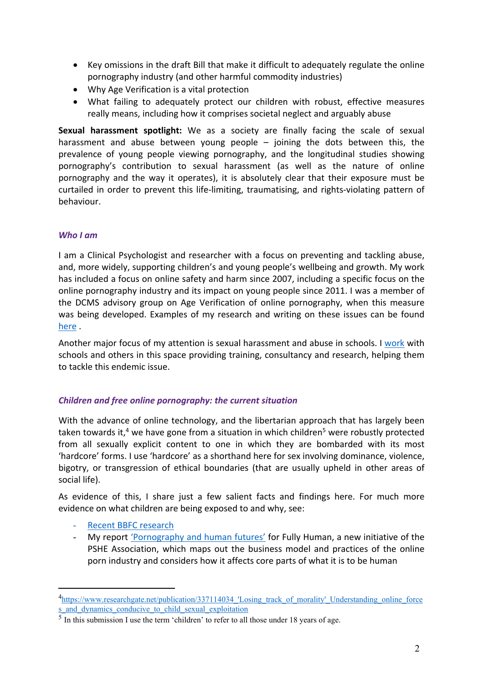- Key omissions in the draft Bill that make it difficult to adequately regulate the online pornography industry (and other harmful commodity industries)
- Why Age Verification is a vital protection
- What failing to adequately protect our children with robust, effective measures really means, including how it comprises societal neglect and arguably abuse

**Sexual harassment spotlight:** We as a society are finally facing the scale of sexual harassment and abuse between young people – joining the dots between this, the prevalence of young people viewing pornography, and the longitudinal studies showing pornography's contribution to sexual harassment (as well as the nature of online pornography and the way it operates), it is absolutely clear that their exposure must be curtailed in order to prevent this life-limiting, traumatising, and rights-violating pattern of behaviour.

# *Who I am*

I am a Clinical Psychologist and researcher with a focus on preventing and tackling abuse, and, more widely, supporting children's and young people's wellbeing and growth. My work has included a focus on online safety and harm since 2007, including a specific focus on the online pornography industry and its impact on young people since 2011. I was a member of the DCMS advisory group on Age Verification of online pornography, when this measure was being developed. Examples of my research and writing on these issues can be found [here](https://www.drellyhanson.com/talks-papers-media) .

Another major focus of my attention is sexual harassment and abuse in schools. I [work](https://www.drellyhanson.com/education-schools) with schools and others in this space providing training, consultancy and research, helping them to tackle this endemic issue.

# *Children and free online pornography: the current situation*

With the advance of online technology, and the libertarian approach that has largely been taken towards it,<sup>4</sup> we have gone from a situation in which children<sup>5</sup> were robustly protected from all sexually explicit content to one in which they are bombarded with its most 'hardcore' forms. I use 'hardcore' as a shorthand here for sex involving dominance, violence, bigotry, or transgression of ethical boundaries (that are usually upheld in other areas of social life).

As evidence of this, I share just a few salient facts and findings here. For much more evidence on what children are being exposed to and why, see:

- [Recent](https://www.bbfc.co.uk/about-us/news/children-see-pornography-as-young-as-seven-new-report-finds) [BBFC](https://www.bbfc.co.uk/about-us/news/children-see-pornography-as-young-as-seven-new-report-finds) [research](https://www.bbfc.co.uk/about-us/news/children-see-pornography-as-young-as-seven-new-report-finds)
- My report ['Pornography](https://fullyhuman.org.uk/issues/pornography) [and](https://fullyhuman.org.uk/issues/pornography) [human](https://fullyhuman.org.uk/issues/pornography) [futures'](https://fullyhuman.org.uk/issues/pornography) for Fully Human, a new initiative of the PSHE Association, which maps out the business model and practices of the online porn industry and considers how it affects core parts of what it is to be human

<sup>&</sup>lt;sup>4</sup>https://www.researchgate.net/publication/337114034 'Losing track of morality' Understanding online force s and dynamics conducive to child sexual exploitation

 $<sup>5</sup>$  In this submission I use the term 'children' to refer to all those under 18 years of age.</sup>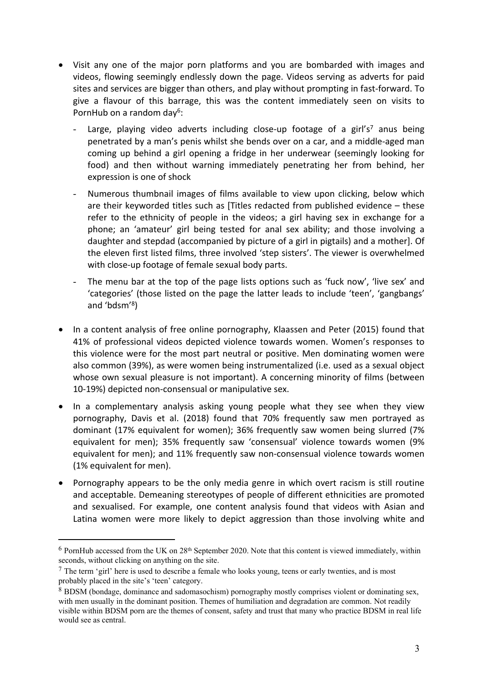- Visit any one of the major porn platforms and you are bombarded with images and videos, flowing seemingly endlessly down the page. Videos serving as adverts for paid sites and services are bigger than others, and play without prompting in fast-forward. To give a flavour of this barrage, this was the content immediately seen on visits to PornHub on a random day<sup>6</sup>:
	- Large, playing video adverts including close-up footage of a girl's<sup>7</sup> anus being penetrated by a man's penis whilst she bends over on a car, and a middle-aged man coming up behind a girl opening a fridge in her underwear (seemingly looking for food) and then without warning immediately penetrating her from behind, her expression is one of shock
	- Numerous thumbnail images of films available to view upon clicking, below which are their keyworded titles such as [Titles redacted from published evidence – these refer to the ethnicity of people in the videos; a girl having sex in exchange for a phone; an 'amateur' girl being tested for anal sex ability; and those involving a daughter and stepdad (accompanied by picture of a girl in pigtails) and a mother]. Of the eleven first listed films, three involved 'step sisters'. The viewer is overwhelmed with close-up footage of female sexual body parts.
	- The menu bar at the top of the page lists options such as 'fuck now', 'live sex' and 'categories' (those listed on the page the latter leads to include 'teen', 'gangbangs' and 'bdsm'<sup>8</sup> )
- In a content analysis of free online pornography, Klaassen and Peter (2015) found that 41% of professional videos depicted violence towards women. Women's responses to this violence were for the most part neutral or positive. Men dominating women were also common (39%), as were women being instrumentalized (i.e. used as a sexual object whose own sexual pleasure is not important). A concerning minority of films (between 10-19%) depicted non-consensual or manipulative sex.
- In a complementary analysis asking young people what they see when they view pornography, Davis et al. (2018) found that 70% frequently saw men portrayed as dominant (17% equivalent for women); 36% frequently saw women being slurred (7% equivalent for men); 35% frequently saw 'consensual' violence towards women (9% equivalent for men); and 11% frequently saw non-consensual violence towards women (1% equivalent for men).
- Pornography appears to be the only media genre in which overt racism is still routine and acceptable. Demeaning stereotypes of people of different ethnicities are promoted and sexualised. For example, one content analysis found that videos with Asian and Latina women were more likely to depict aggression than those involving white and

 $6$  PornHub accessed from the UK on  $28<sup>th</sup>$  September 2020. Note that this content is viewed immediately, within seconds, without clicking on anything on the site.

<sup>7</sup> The term 'girl' here is used to describe a female who looks young, teens or early twenties, and is most probably placed in the site's 'teen' category.

<sup>8</sup> BDSM (bondage, dominance and sadomasochism) pornography mostly comprises violent or dominating sex, with men usually in the dominant position. Themes of humiliation and degradation are common. Not readily visible within BDSM porn are the themes of consent, safety and trust that many who practice BDSM in real life would see as central.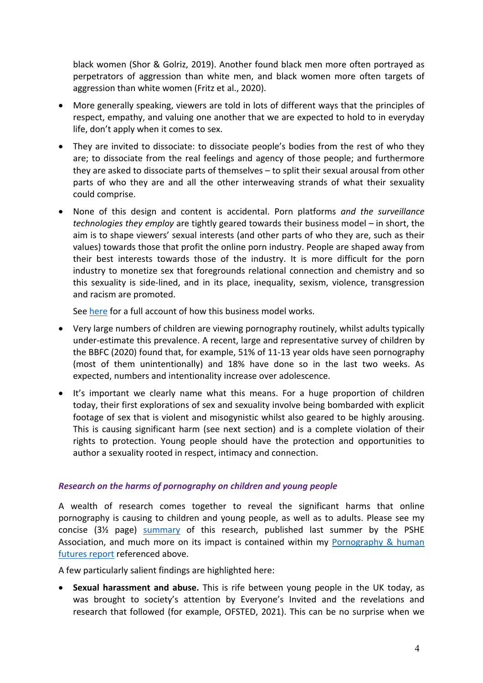black women (Shor & Golriz, 2019). Another found black men more often portrayed as perpetrators of aggression than white men, and black women more often targets of aggression than white women (Fritz et al., 2020).

- More generally speaking, viewers are told in lots of different ways that the principles of respect, empathy, and valuing one another that we are expected to hold to in everyday life, don't apply when it comes to sex.
- They are invited to dissociate: to dissociate people's bodies from the rest of who they are; to dissociate from the real feelings and agency of those people; and furthermore they are asked to dissociate parts of themselves – to split their sexual arousal from other parts of who they are and all the other interweaving strands of what their sexuality could comprise.
- None of this design and content is accidental. Porn platforms *and the surveillance technologies they employ* are tightly geared towards their business model – in short, the aim is to shape viewers' sexual interests (and other parts of who they are, such as their values) towards those that profit the online porn industry. People are shaped away from their best interests towards those of the industry. It is more difficult for the porn industry to monetize sex that foregrounds relational connection and chemistry and so this sexuality is side-lined, and in its place, inequality, sexism, violence, transgression and racism are promoted.

See [here](https://fullyhuman.org.uk/issues/pornography/the-nature-dynamics-and-business-models-of-online-porn#meta-messages) for a full account of how this business model works.

- Very large numbers of children are viewing pornography routinely, whilst adults typically under-estimate this prevalence. A recent, large and representative survey of children by the BBFC (2020) found that, for example, 51% of 11-13 year olds have seen pornography (most of them unintentionally) and 18% have done so in the last two weeks. As expected, numbers and intentionality increase over adolescence.
- It's important we clearly name what this means. For a huge proportion of children today, their first explorations of sex and sexuality involve being bombarded with explicit footage of sex that is violent and misogynistic whilst also geared to be highly arousing. This is causing significant harm (see next section) and is a complete violation of their rights to protection. Young people should have the protection and opportunities to author a sexuality rooted in respect, intimacy and connection.

# *Research on the harms of pornography on children and young people*

A wealth of research comes together to reveal the significant harms that online pornography is causing to children and young people, as well as to adults. Please see my concise (3½ page) [summary](https://www.pshe-association.org.uk/curriculum-and-resources/resources/addressing-pornography-through-pshe-education-%E2%80%93) of this research, published last summer by the PSHE Association, and much more on its impact is contained within my [Pornography](https://fullyhuman.org.uk/issues/pornography) [&](https://fullyhuman.org.uk/issues/pornography) [human](https://fullyhuman.org.uk/issues/pornography) [futures](https://fullyhuman.org.uk/issues/pornography) [report](https://fullyhuman.org.uk/issues/pornography) referenced above.

A few particularly salient findings are highlighted here:

 **Sexual harassment and abuse.** This is rife between young people in the UK today, as was brought to society's attention by Everyone's Invited and the revelations and research that followed (for example, OFSTED, 2021). This can be no surprise when we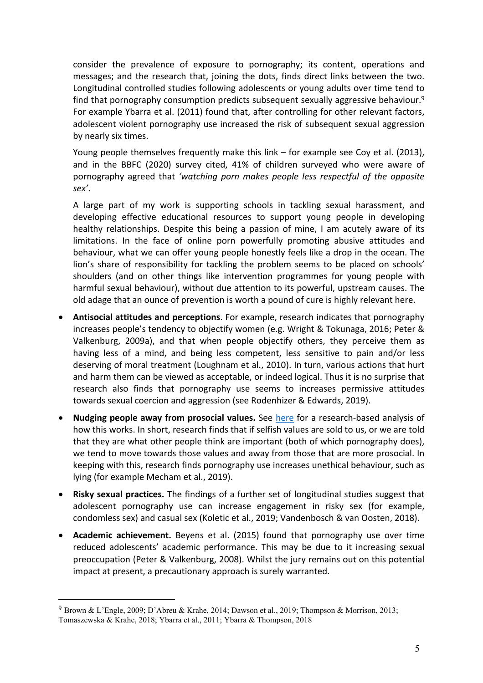consider the prevalence of exposure to pornography; its content, operations and messages; and the research that, joining the dots, finds direct links between the two. Longitudinal controlled studies following adolescents or young adults over time tend to find that pornography consumption predicts subsequent sexually aggressive behaviour.<sup>9</sup> For example Ybarra et al. (2011) found that, after controlling for other relevant factors, adolescent violent pornography use increased the risk of subsequent sexual aggression by nearly six times.

Young people themselves frequently make this link – for example see Coy et al. (2013), and in the BBFC (2020) survey cited, 41% of children surveyed who were aware of pornography agreed that *'watching porn makes people less respectful of the opposite sex'*.

A large part of my work is supporting schools in tackling sexual harassment, and developing effective educational resources to support young people in developing healthy relationships. Despite this being a passion of mine, I am acutely aware of its limitations. In the face of online porn powerfully promoting abusive attitudes and behaviour, what we can offer young people honestly feels like a drop in the ocean. The lion's share of responsibility for tackling the problem seems to be placed on schools' shoulders (and on other things like intervention programmes for young people with harmful sexual behaviour), without due attention to its powerful, upstream causes. The old adage that an ounce of prevention is worth a pound of cure is highly relevant here.

- **Antisocial attitudes and perceptions**. For example, research indicates that pornography increases people's tendency to objectify women (e.g. Wright & Tokunaga, 2016; Peter & Valkenburg, 2009a), and that when people objectify others, they perceive them as having less of a mind, and being less competent, less sensitive to pain and/or less deserving of moral treatment (Loughnam et al., 2010). In turn, various actions that hurt and harm them can be viewed as acceptable, or indeed logical. Thus it is no surprise that research also finds that pornography use seems to increases permissive attitudes towards sexual coercion and aggression (see Rodenhizer & Edwards, 2019).
- **Nudging people away from prosocial values.** See [here](https://fullyhuman.org.uk/issues/pornography/our-core-values-and-ethics#moral-disengagement) for a research-based analysis of how this works. In short, research finds that if selfish values are sold to us, or we are told that they are what other people think are important (both of which pornography does), we tend to move towards those values and away from those that are more prosocial. In keeping with this, research finds pornography use increases unethical behaviour, such as lying (for example Mecham et al., 2019).
- **Risky sexual practices.** The findings of a further set of longitudinal studies suggest that adolescent pornography use can increase engagement in risky sex (for example, condomless sex) and casual sex (Koletic et al., 2019; Vandenbosch & van Oosten, 2018).
- **Academic achievement.** Beyens et al. (2015) found that pornography use over time reduced adolescents' academic performance. This may be due to it increasing sexual preoccupation (Peter & Valkenburg, 2008). Whilst the jury remains out on this potential impact at present, a precautionary approach is surely warranted.

<sup>9</sup> Brown & L'Engle, 2009; D'Abreu & Krahe, 2014; Dawson et al., 2019; Thompson & Morrison, 2013; Tomaszewska & Krahe, 2018; Ybarra et al., 2011; Ybarra & Thompson, 2018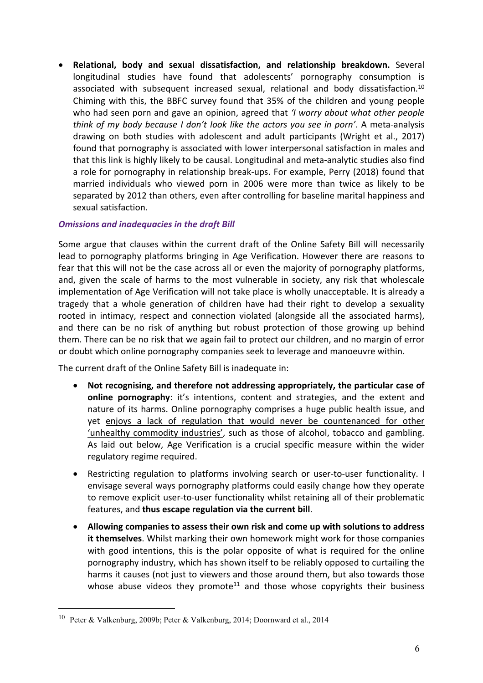**Relational, body and sexual dissatisfaction, and relationship breakdown.** Several longitudinal studies have found that adolescents' pornography consumption is associated with subsequent increased sexual, relational and body dissatisfaction.<sup>10</sup> Chiming with this, the BBFC survey found that 35% of the children and young people who had seen porn and gave an opinion, agreed that *'I worry about what other people think of my body because I don't look like the actors you see in porn'*. A meta-analysis drawing on both studies with adolescent and adult participants (Wright et al., 2017) found that pornography is associated with lower interpersonal satisfaction in males and that this link is highly likely to be causal. Longitudinal and meta-analytic studies also find a role for pornography in relationship break-ups. For example, Perry (2018) found that married individuals who viewed porn in 2006 were more than twice as likely to be separated by 2012 than others, even after controlling for baseline marital happiness and sexual satisfaction.

# *Omissions and inadequacies in the draft Bill*

Some argue that clauses within the current draft of the Online Safety Bill will necessarily lead to pornography platforms bringing in Age Verification. However there are reasons to fear that this will not be the case across all or even the majority of pornography platforms, and, given the scale of harms to the most vulnerable in society, any risk that wholescale implementation of Age Verification will not take place is wholly unacceptable. It is already a tragedy that a whole generation of children have had their right to develop a sexuality rooted in intimacy, respect and connection violated (alongside all the associated harms), and there can be no risk of anything but robust protection of those growing up behind them. There can be no risk that we again fail to protect our children, and no margin of error or doubt which online pornography companies seek to leverage and manoeuvre within.

The current draft of the Online Safety Bill is inadequate in:

- **Not recognising, and therefore not addressing appropriately, the particular case of online pornography**: it's intentions, content and strategies, and the extent and nature of its harms. Online pornography comprises a huge public health issue, and yet enjoys a lack of regulation that would never be countenanced for other 'unhealthy commodity industries', such as those of alcohol, tobacco and gambling. As laid out below, Age Verification is a crucial specific measure within the wider regulatory regime required.
- Restricting regulation to platforms involving search or user-to-user functionality. I envisage several ways pornography platforms could easily change how they operate to remove explicit user-to-user functionality whilst retaining all of their problematic features, and **thus escape regulation via the current bill**.
- **Allowing companies to assess their own risk and come up with solutions to address it themselves**. Whilst marking their own homework might work for those companies with good intentions, this is the polar opposite of what is required for the online pornography industry, which has shown itself to be reliably opposed to curtailing the harms it causes (not just to viewers and those around them, but also towards those whose abuse videos they promote<sup>11</sup> and those whose copyrights their business

<sup>&</sup>lt;sup>10</sup> Peter & Valkenburg, 2009b; Peter & Valkenburg, 2014; Doornward et al., 2014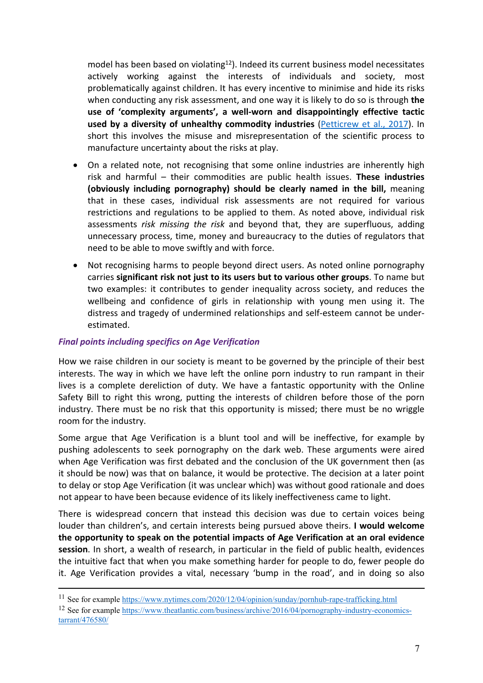model has been based on violating<sup>12</sup>). Indeed its current business model necessitates actively working against the interests of individuals and society, most problematically against children. It has every incentive to minimise and hide its risks when conducting any risk assessment, and one way it is likely to do so is through **the use of 'complexity arguments', a well-worn and disappointingly effective tactic used by a diversity of unhealthy commodity industries** [\(Petticrew](https://jech.bmj.com/content/71/11/1078.abstract) [et](https://jech.bmj.com/content/71/11/1078.abstract) [al.,](https://jech.bmj.com/content/71/11/1078.abstract) [2017\)](https://jech.bmj.com/content/71/11/1078.abstract). In short this involves the misuse and misrepresentation of the scientific process to manufacture uncertainty about the risks at play.

- On a related note, not recognising that some online industries are inherently high risk and harmful – their commodities are public health issues. **These industries (obviously including pornography) should be clearly named in the bill,** meaning that in these cases, individual risk assessments are not required for various restrictions and regulations to be applied to them. As noted above, individual risk assessments *risk missing the risk* and beyond that, they are superfluous, adding unnecessary process, time, money and bureaucracy to the duties of regulators that need to be able to move swiftly and with force.
- Not recognising harms to people beyond direct users. As noted online pornography carries **significant risk not just to its users but to various other groups**. To name but two examples: it contributes to gender inequality across society, and reduces the wellbeing and confidence of girls in relationship with young men using it. The distress and tragedy of undermined relationships and self-esteem cannot be underestimated.

#### *Final points including specifics on Age Verification*

How we raise children in our society is meant to be governed by the principle of their best interests. The way in which we have left the online porn industry to run rampant in their lives is a complete dereliction of duty. We have a fantastic opportunity with the Online Safety Bill to right this wrong, putting the interests of children before those of the porn industry. There must be no risk that this opportunity is missed; there must be no wriggle room for the industry.

Some argue that Age Verification is a blunt tool and will be ineffective, for example by pushing adolescents to seek pornography on the dark web. These arguments were aired when Age Verification was first debated and the conclusion of the UK government then (as it should be now) was that on balance, it would be protective. The decision at a later point to delay or stop Age Verification (it was unclear which) was without good rationale and does not appear to have been because evidence of its likely ineffectiveness came to light.

There is widespread concern that instead this decision was due to certain voices being louder than children's, and certain interests being pursued above theirs. **I would welcome the opportunity to speak on the potential impacts of Age Verification at an oral evidence session**. In short, a wealth of research, in particular in the field of public health, evidences the intuitive fact that when you make something harder for people to do, fewer people do it. Age Verification provides a vital, necessary 'bump in the road', and in doing so also

<sup>11</sup> See for example <https://www.nytimes.com/2020/12/04/opinion/sunday/pornhub-rape-trafficking.html>

<sup>12</sup> See for example [https://www.theatlantic.com/business/archive/2016/04/pornography-industry-economics](https://www.theatlantic.com/business/archive/2016/04/pornography-industry-economics-tarrant/476580/)[tarrant/476580/](https://www.theatlantic.com/business/archive/2016/04/pornography-industry-economics-tarrant/476580/)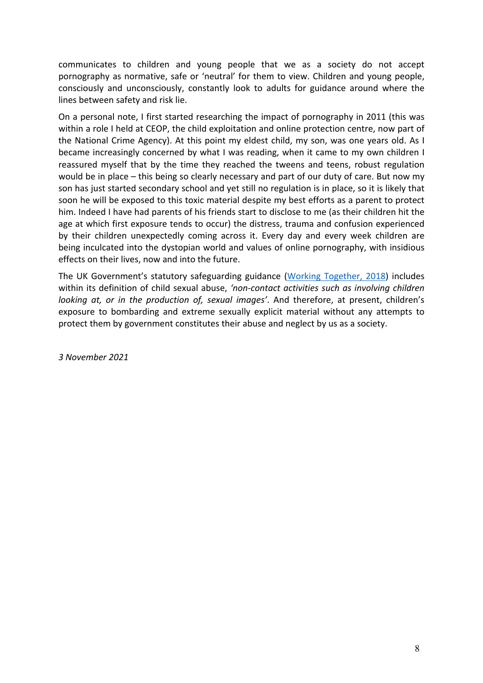communicates to children and young people that we as a society do not accept pornography as normative, safe or 'neutral' for them to view. Children and young people, consciously and unconsciously, constantly look to adults for guidance around where the lines between safety and risk lie.

On a personal note, I first started researching the impact of pornography in 2011 (this was within a role I held at CEOP, the child exploitation and online protection centre, now part of the National Crime Agency). At this point my eldest child, my son, was one years old. As I became increasingly concerned by what I was reading, when it came to my own children I reassured myself that by the time they reached the tweens and teens, robust regulation would be in place – this being so clearly necessary and part of our duty of care. But now my son has just started secondary school and yet still no regulation is in place, so it is likely that soon he will be exposed to this toxic material despite my best efforts as a parent to protect him. Indeed I have had parents of his friends start to disclose to me (as their children hit the age at which first exposure tends to occur) the distress, trauma and confusion experienced by their children unexpectedly coming across it. Every day and every week children are being inculcated into the dystopian world and values of online pornography, with insidious effects on their lives, now and into the future.

The UK Government's statutory safeguarding guidance ([Working](https://assets.publishing.service.gov.uk/government/uploads/system/uploads/attachment_data/file/942454/Working_together_to_safeguard_children_inter_agency_guidance.pdf) [Together,](https://assets.publishing.service.gov.uk/government/uploads/system/uploads/attachment_data/file/942454/Working_together_to_safeguard_children_inter_agency_guidance.pdf) [2018](https://assets.publishing.service.gov.uk/government/uploads/system/uploads/attachment_data/file/942454/Working_together_to_safeguard_children_inter_agency_guidance.pdf)) includes within its definition of child sexual abuse, *'non-contact activities such as involving children looking at, or in the production of, sexual images'*. And therefore, at present, children's exposure to bombarding and extreme sexually explicit material without any attempts to protect them by government constitutes their abuse and neglect by us as a society.

*3 November 2021*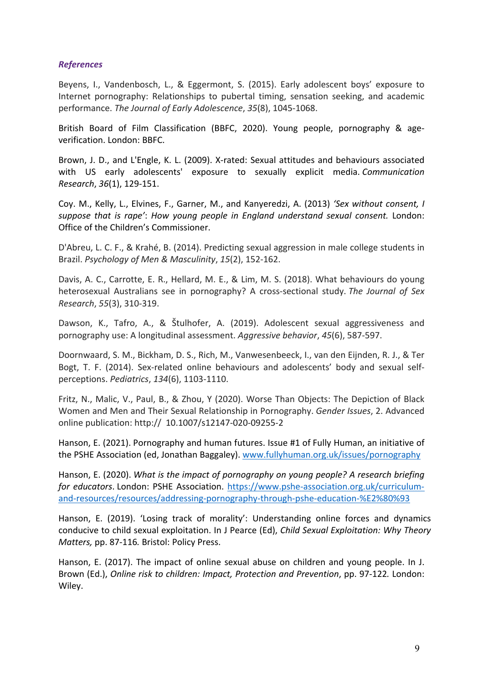# *References*

Beyens, I., Vandenbosch, L., & Eggermont, S. (2015). Early adolescent boys' exposure to Internet pornography: Relationships to pubertal timing, sensation seeking, and academic performance. *The Journal of Early Adolescence*, *35*(8), 1045-1068.

British Board of Film Classification (BBFC, 2020). Young people, pornography & ageverification. London: BBFC.

Brown, J. D., and L'Engle, K. L. (2009). X-rated: Sexual attitudes and behaviours associated with US early adolescents' exposure to sexually explicit media. *Communication Research*, *36*(1), 129-151.

Coy. M., Kelly, L., Elvines, F., Garner, M., and Kanyeredzi, A. (2013) *'Sex without consent, I suppose that is rape'*: *How young people in England understand sexual consent.* London: Office of the Children's Commissioner.

D'Abreu, L. C. F., & Krahé, B. (2014). Predicting sexual aggression in male college students in Brazil. *Psychology of Men & Masculinity*, *15*(2), 152-162.

Davis, A. C., Carrotte, E. R., Hellard, M. E., & Lim, M. S. (2018). What behaviours do young heterosexual Australians see in pornography? A cross-sectional study. *The Journal of Sex Research*, *55*(3), 310-319.

Dawson, K., Tafro, A., & Štulhofer, A. (2019). Adolescent sexual aggressiveness and pornography use: A longitudinal assessment. *Aggressive behavior*, *45*(6), 587-597.

Doornwaard, S. M., Bickham, D. S., Rich, M., Vanwesenbeeck, I., van den Eijnden, R. J., & Ter Bogt, T. F. (2014). Sex-related online behaviours and adolescents' body and sexual selfperceptions. *Pediatrics*, *134*(6), 1103-1110.

Fritz, N., Malic, V., Paul, B., & Zhou, Y (2020). Worse Than Objects: The Depiction of Black Women and Men and Their Sexual Relationship in Pornography. *Gender Issues*, 2. Advanced online publication: http:// 10.1007/s12147-020-09255-2

Hanson, E. (2021). Pornography and human futures. Issue #1 of Fully Human, an initiative of the PSHE Association (ed, Jonathan Baggaley). [www.fullyhuman.org.uk/issues/pornography](http://www.fullyhuman.org.uk/issues/pornography)

Hanson, E. (2020). *What is the impact of pornography on young people? A research briefing for educators*. London: PSHE Association. [https://www.pshe-association.org.uk/curriculum](https://www.pshe-association.org.uk/curriculum-and-resources/resources/addressing-pornography-through-pshe-education-%E2%80%93)[and-resources/resources/addressing-pornography-through-pshe-education-%E2%80%93](https://www.pshe-association.org.uk/curriculum-and-resources/resources/addressing-pornography-through-pshe-education-%E2%80%93)

Hanson, E. (2019). 'Losing track of morality': Understanding online forces and dynamics conducive to child sexual exploitation. In J Pearce (Ed), *Child Sexual Exploitation: Why Theory Matters,* pp. 87-116*.* Bristol: Policy Press.

Hanson, E. (2017). The impact of online sexual abuse on children and young people. In J. Brown (Ed.), *Online risk to children: Impact, Protection and Prevention*, pp. 97-122*.* London: Wiley.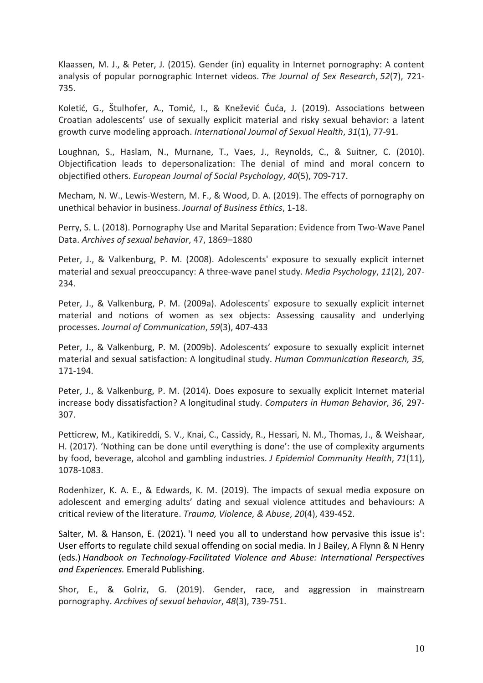Klaassen, M. J., & Peter, J. (2015). Gender (in) equality in Internet pornography: A content analysis of popular pornographic Internet videos. *The Journal of Sex Research*, *52*(7), 721- 735.

Koletić, G., Štulhofer, A., Tomić, I., & Knežević Ćuća, J. (2019). Associations between Croatian adolescents' use of sexually explicit material and risky sexual behavior: a latent growth curve modeling approach. *International Journal of Sexual Health*, *31*(1), 77-91.

Loughnan, S., Haslam, N., Murnane, T., Vaes, J., Reynolds, C., & Suitner, C. (2010). Objectification leads to depersonalization: The denial of mind and moral concern to objectified others. *European Journal of Social Psychology*, *40*(5), 709-717.

Mecham, N. W., Lewis-Western, M. F., & Wood, D. A. (2019). The effects of pornography on unethical behavior in business. *Journal of Business Ethics*, 1-18.

Perry, S. L. (2018). Pornography Use and Marital Separation: Evidence from Two-Wave Panel Data. *Archives of sexual behavior*, 47, 1869–1880

Peter, J., & Valkenburg, P. M. (2008). Adolescents' exposure to sexually explicit internet material and sexual preoccupancy: A three-wave panel study. *Media Psychology*, *11*(2), 207- 234.

Peter, J., & Valkenburg, P. M. (2009a). Adolescents' exposure to sexually explicit internet material and notions of women as sex objects: Assessing causality and underlying processes. *Journal of Communication*, *59*(3), 407-433

Peter, J., & Valkenburg, P. M. (2009b). Adolescents' exposure to sexually explicit internet material and sexual satisfaction: A longitudinal study. *Human Communication Research, 35,* 171-194.

Peter, J., & Valkenburg, P. M. (2014). Does exposure to sexually explicit Internet material increase body dissatisfaction? A longitudinal study. *Computers in Human Behavior*, *36*, 297- 307.

Petticrew, M., Katikireddi, S. V., Knai, C., Cassidy, R., Hessari, N. M., Thomas, J., & Weishaar, H. (2017). 'Nothing can be done until everything is done': the use of complexity arguments by food, beverage, alcohol and gambling industries. *J Epidemiol Community Health*, *71*(11), 1078-1083.

Rodenhizer, K. A. E., & Edwards, K. M. (2019). The impacts of sexual media exposure on adolescent and emerging adults' dating and sexual violence attitudes and behaviours: A critical review of the literature. *Trauma, Violence, & Abuse*, *20*(4), 439-452.

Salter, M. & Hanson, E. (2021). 'I need you all to understand how pervasive this issue is': User efforts to regulate child sexual offending on social media. In J Bailey, A Flynn & N Henry (eds.) *Handbook on Technology-Facilitated Violence and Abuse: International Perspectives and Experiences.* Emerald Publishing.

Shor, E., & Golriz, G. (2019). Gender, race, and aggression in mainstream pornography. *Archives of sexual behavior*, *48*(3), 739-751.